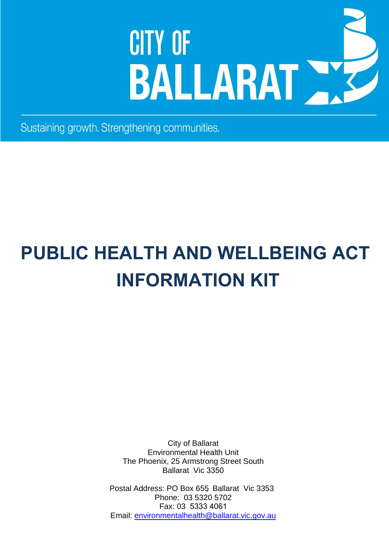# **CITY OF** BALLARAT

Sustaining growth. Strengthening communities.

# **PUBLIC HEALTH AND WELLBEING ACT INFORMATION KIT**

City of Ballarat Environmental Health Unit The Phoenix, 25 Armstrong Street South Ballarat Vic 3350

Postal Address: PO Box 655, Ballarat Vic 3353 Phone: 03 5320 5702 Fax: 03 5333 4061 Email: [environmentalhealth@ballarat.vic.gov.au](mailto:environmentalhealth@ballarat.vic.gov.au)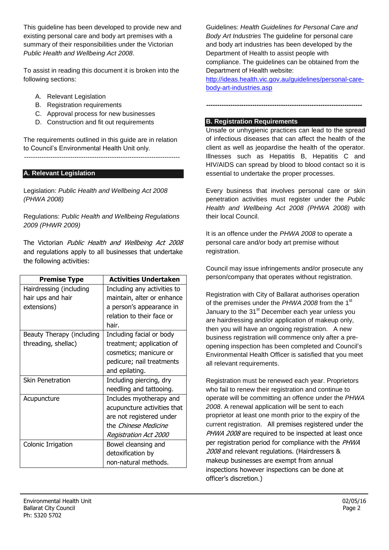This guideline has been developed to provide new and existing personal care and body art premises with a summary of their responsibilities under the Victorian *Public Health and Wellbeing Act 2008*.

To assist in reading this document it is broken into the following sections:

- A. Relevant Legislation
- B. Registration requirements
- C. Approval process for new businesses
- D. Construction and fit out requirements

The requirements outlined in this guide are in relation to Council's Environmental Health Unit only.

-----------------------------------------------------------------------

#### **A. Relevant Legislation**

Legislation: *Public Health and Wellbeing Act 2008 (PHWA 2008)*

Regulations: *Public Health and Wellbeing Regulations 2009 (PHWR 2009)*

The Victorian Public Health and Wellbeing Act 2008 and regulations apply to all businesses that undertake the following activities:

| <b>Premise Type</b>       | <b>Activities Undertaken</b> |
|---------------------------|------------------------------|
| Hairdressing (including   | Including any activities to  |
| hair ups and hair         | maintain, alter or enhance   |
| extensions)               | a person's appearance in     |
|                           | relation to their face or    |
|                           | hair.                        |
| Beauty Therapy (including | Including facial or body     |
| threading, shellac)       | treatment; application of    |
|                           | cosmetics; manicure or       |
|                           | pedicure; nail treatments    |
|                           | and epilating.               |
| <b>Skin Penetration</b>   | Including piercing, dry      |
|                           | needling and tattooing.      |
| Acupuncture               | Includes myotherapy and      |
|                           | acupuncture activities that  |
|                           | are not registered under     |
|                           | the <i>Chinese Medicine</i>  |
|                           | Registration Act 2000        |
| Colonic Irrigation        | Bowel cleansing and          |
|                           | detoxification by            |
|                           | non-natural methods.         |

Guidelines: *Health Guidelines for Personal Care and Body Art Industries* The guideline for personal care and body art industries has been developed by the Department of Health to assist people with compliance. The guidelines can be obtained from the Department of Health website:

[http://ideas.health.vic.gov.au/guidelines/personal-care](http://ideas.health.vic.gov.au/guidelines/personal-care-body-art-industries.asp)[body-art-industries.asp](http://ideas.health.vic.gov.au/guidelines/personal-care-body-art-industries.asp) 

**-----------------------------------------------------------------------** 

# **B. Registration Requirements**

Unsafe or unhygienic practices can lead to the spread of infectious diseases that can affect the health of the client as well as jeopardise the health of the operator. Illnesses such as Hepatitis B, Hepatitis C and HIV/AIDS can spread by blood to blood contact so it is essential to undertake the proper processes.

Every business that involves personal care or skin penetration activities must register under the *Public Health and Wellbeing Act 2008 (PHWA 2008)* with their local Council.

It is an offence under the *PHWA 2008* to operate a personal care and/or body art premise without registration.

Council may issue infringements and/or prosecute any person/company that operates without registration.

Registration with City of Ballarat authorises operation of the premises under the *PHWA 2008* from the 1st January to the 31<sup>st</sup> December each year unless you are hairdressing and/or application of makeup only, then you will have an ongoing registration. A new business registration will commence only after a preopening inspection has been completed and Council's Environmental Health Officer is satisfied that you meet all relevant requirements.

Registration must be renewed each year. Proprietors who fail to renew their registration and continue to operate will be committing an offence under the *PHWA 2008*. A renewal application will be sent to each proprietor at least one month prior to the expiry of the current registration. All premises registered under the PHWA 2008 are required to be inspected at least once per registration period for compliance with the PHWA 2008 and relevant regulations. (Hairdressers & makeup businesses are exempt from annual inspections however inspections can be done at officer's discretion.)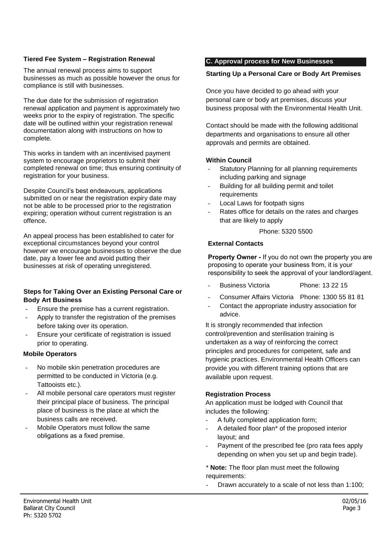#### **Tiered Fee System – Registration Renewal**

The annual renewal process aims to support businesses as much as possible however the onus for compliance is still with businesses.

The due date for the submission of registration renewal application and payment is approximately two weeks prior to the expiry of registration. The specific date will be outlined within your registration renewal documentation along with instructions on how to complete.

This works in tandem with an incentivised payment system to encourage proprietors to submit their completed renewal on time; thus ensuring continuity of registration for your business.

Despite Council's best endeavours, applications submitted on or near the registration expiry date may not be able to be processed prior to the registration expiring; operation without current registration is an offence.

An appeal process has been established to cater for exceptional circumstances beyond your control however we encourage businesses to observe the due date, pay a lower fee and avoid putting their businesses at risk of operating unregistered.

#### **Steps for Taking Over an Existing Personal Care or Body Art Business**

- Ensure the premise has a current registration.
- Apply to transfer the registration of the premises before taking over its operation.
- Ensure your certificate of registration is issued prior to operating.

#### **Mobile Operators**

- No mobile skin penetration procedures are permitted to be conducted in Victoria (e.g. Tattooists etc.).
- All mobile personal care operators must register their principal place of business. The principal place of business is the place at which the business calls are received.
- Mobile Operators must follow the same obligations as a fixed premise.

#### **C. Approval process for New Businesses**

#### **Starting Up a Personal Care or Body Art Premises**

Once you have decided to go ahead with your personal care or body art premises, discuss your business proposal with the Environmental Health Unit.

Contact should be made with the following additional departments and organisations to ensure all other approvals and permits are obtained.

#### **Within Council**

- Statutory Planning for all planning requirements including parking and signage
- Building for all building permit and toilet requirements
- Local Laws for footpath signs
- Rates office for details on the rates and charges that are likely to apply

Phone: 5320 5500

#### **External Contacts**

**Property Owner -** If you do not own the property you are proposing to operate your business from, it is your responsibility to seek the approval of your landlord/agent.

- Business Victoria Phone: 13 22 15
- Consumer Affairs Victoria Phone: 1300 55 81 81
- Contact the appropriate industry association for advice.

It is strongly recommended that infection control/prevention and sterilisation training is undertaken as a way of reinforcing the correct principles and procedures for competent, safe and hygienic practices. Environmental Health Officers can provide you with different training options that are available upon request.

#### **Registration Process**

An application must be lodged with Council that includes the following:

- A fully completed application form;
- A detailed floor plan<sup>\*</sup> of the proposed interior layout; and
- Payment of the prescribed fee (pro rata fees apply depending on when you set up and begin trade).

\* **Note:** The floor plan must meet the following requirements:

Drawn accurately to a scale of not less than 1:100;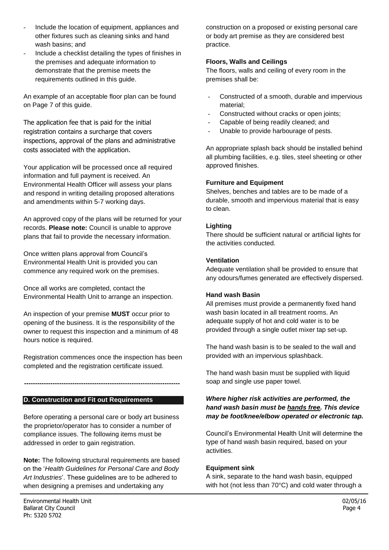- Include the location of equipment, appliances and other fixtures such as cleaning sinks and hand wash basins; and
- Include a checklist detailing the types of finishes in the premises and adequate information to demonstrate that the premise meets the requirements outlined in this guide.

An example of an acceptable floor plan can be found on Page 7 of this guide.

The application fee that is paid for the initial registration contains a surcharge that covers inspections, approval of the plans and administrative costs associated with the application.

Your application will be processed once all required information and full payment is received. An Environmental Health Officer will assess your plans and respond in writing detailing proposed alterations and amendments within 5-7 working days.

An approved copy of the plans will be returned for your records. **Please note:** Council is unable to approve plans that fail to provide the necessary information.

Once written plans approval from Council's Environmental Health Unit is provided you can commence any required work on the premises.

Once all works are completed, contact the Environmental Health Unit to arrange an inspection.

An inspection of your premise **MUST** occur prior to opening of the business. It is the responsibility of the owner to request this inspection and a minimum of 48 hours notice is required.

Registration commences once the inspection has been completed and the registration certificate issued.

**-----------------------------------------------------------------------**

#### **D. Construction and Fit out Requirements**

Before operating a personal care or body art business the proprietor/operator has to consider a number of compliance issues. The following items must be addressed in order to gain registration.

**Note:** The following structural requirements are based on the '*Health Guidelines for Personal Care and Body Art Industries*'. These guidelines are to be adhered to when designing a premises and undertaking any

construction on a proposed or existing personal care or body art premise as they are considered best practice.

#### **Floors, Walls and Ceilings**

The floors, walls and ceiling of every room in the premises shall be:

- Constructed of a smooth, durable and impervious material;
- Constructed without cracks or open joints;
- Capable of being readily cleaned; and
- Unable to provide harbourage of pests.

An appropriate splash back should be installed behind all plumbing facilities, e.g. tiles, steel sheeting or other approved finishes.

#### **Furniture and Equipment**

Shelves, benches and tables are to be made of a durable, smooth and impervious material that is easy to clean.

#### **Lighting**

There should be sufficient natural or artificial lights for the activities conducted.

#### **Ventilation**

Adequate ventilation shall be provided to ensure that any odours/fumes generated are effectively dispersed.

#### **Hand wash Basin**

All premises must provide a permanently fixed hand wash basin located in all treatment rooms. An adequate supply of hot and cold water is to be provided through a single outlet mixer tap set-up.

The hand wash basin is to be sealed to the wall and provided with an impervious splashback.

The hand wash basin must be supplied with liquid soap and single use paper towel.

#### *Where higher risk activities are performed, the hand wash basin must be hands free. This device may be foot/knee/elbow operated or electronic tap.*

Council's Environmental Health Unit will determine the type of hand wash basin required, based on your activities.

#### **Equipment sink**

A sink, separate to the hand wash basin, equipped with hot (not less than 70°C) and cold water through a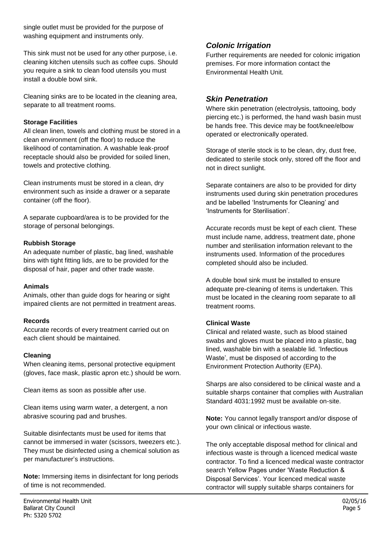single outlet must be provided for the purpose of washing equipment and instruments only.

This sink must not be used for any other purpose, i.e. cleaning kitchen utensils such as coffee cups. Should you require a sink to clean food utensils you must install a double bowl sink.

Cleaning sinks are to be located in the cleaning area, separate to all treatment rooms.

#### **Storage Facilities**

All clean linen, towels and clothing must be stored in a clean environment (off the floor) to reduce the likelihood of contamination. A washable leak-proof receptacle should also be provided for soiled linen, towels and protective clothing.

Clean instruments must be stored in a clean, dry environment such as inside a drawer or a separate container (off the floor).

A separate cupboard/area is to be provided for the storage of personal belongings.

#### **Rubbish Storage**

An adequate number of plastic, bag lined, washable bins with tight fitting lids, are to be provided for the disposal of hair, paper and other trade waste.

#### **Animals**

Animals, other than guide dogs for hearing or sight impaired clients are not permitted in treatment areas.

#### **Records**

Accurate records of every treatment carried out on each client should be maintained.

#### **Cleaning**

When cleaning items, personal protective equipment (gloves, face mask, plastic apron etc.) should be worn.

Clean items as soon as possible after use.

Clean items using warm water, a detergent, a non abrasive scouring pad and brushes.

Suitable disinfectants must be used for items that cannot be immersed in water (scissors, tweezers etc.). They must be disinfected using a chemical solution as per manufacturer's instructions.

**Note:** Immersing items in disinfectant for long periods of time is not recommended.

# *Colonic Irrigation*

Further requirements are needed for colonic irrigation premises. For more information contact the Environmental Health Unit.

### *Skin Penetration*

Where skin penetration (electrolysis, tattooing, body piercing etc.) is performed, the hand wash basin must be hands free. This device may be foot/knee/elbow operated or electronically operated.

Storage of sterile stock is to be clean, dry, dust free, dedicated to sterile stock only, stored off the floor and not in direct sunlight.

Separate containers are also to be provided for dirty instruments used during skin penetration procedures and be labelled 'Instruments for Cleaning' and 'Instruments for Sterilisation'.

Accurate records must be kept of each client. These must include name, address, treatment date, phone number and sterilisation information relevant to the instruments used. Information of the procedures completed should also be included.

A double bowl sink must be installed to ensure adequate pre-cleaning of items is undertaken. This must be located in the cleaning room separate to all treatment rooms.

#### **Clinical Waste**

Clinical and related waste, such as blood stained swabs and gloves must be placed into a plastic, bag lined, washable bin with a sealable lid. 'Infectious Waste', must be disposed of according to the Environment Protection Authority (EPA).

Sharps are also considered to be clinical waste and a suitable sharps container that complies with Australian Standard 4031:1992 must be available on-site.

**Note:** You cannot legally transport and/or dispose of your own clinical or infectious waste.

The only acceptable disposal method for clinical and infectious waste is through a licenced medical waste contractor. To find a licenced medical waste contractor search Yellow Pages under 'Waste Reduction & Disposal Services'. Your licenced medical waste contractor will supply suitable sharps containers for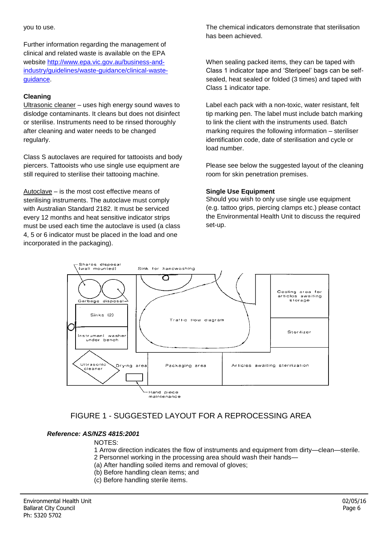Further information regarding the management of clinical and related waste is available on the EPA website [http://www.epa.vic.gov.au/business-and](http://www.epa.vic.gov.au/business-and-industry/guidelines/waste-guidance/clinical-waste-guidance)[industry/guidelines/waste-guidance/clinical-waste](http://www.epa.vic.gov.au/business-and-industry/guidelines/waste-guidance/clinical-waste-guidance)[guidance.](http://www.epa.vic.gov.au/business-and-industry/guidelines/waste-guidance/clinical-waste-guidance)

## **Cleaning**

Ultrasonic cleaner – uses high energy sound waves to dislodge contaminants. It cleans but does not disinfect or sterilise. Instruments need to be rinsed thoroughly after cleaning and water needs to be changed regularly.

Class S autoclaves are required for tattooists and body piercers. Tattooists who use single use equipment are still required to sterilise their tattooing machine.

Autoclave – is the most cost effective means of sterilising instruments. The autoclave must comply with Australian Standard 2182. It must be serviced every 12 months and heat sensitive indicator strips must be used each time the autoclave is used (a class 4, 5 or 6 indicator must be placed in the load and one incorporated in the packaging).

The chemical indicators demonstrate that sterilisation has been achieved.

When sealing packed items, they can be taped with Class 1 indicator tape and 'Steripeel' bags can be selfsealed, heat sealed or folded (3 times) and taped with Class 1 indicator tape.

Label each pack with a non-toxic, water resistant, felt tip marking pen. The label must include batch marking to link the client with the instruments used. Batch marking requires the following information – steriliser identification code, date of sterilisation and cycle or load number.

Please see below the suggested layout of the cleaning room for skin penetration premises.

#### **Single Use Equipment**

Should you wish to only use single use equipment (e.g. tattoo grips, piercing clamps etc.) please contact the Environmental Health Unit to discuss the required set-up.



# FIGURE 1 - SUGGESTED LAYOUT FOR A REPROCESSING AREA

#### *Reference: AS/NZS 4815:2001*

NOTES:

- 1 Arrow direction indicates the flow of instruments and equipment from dirty—clean—sterile.
- 2 Personnel working in the processing area should wash their hands—
	- (a) After handling soiled items and removal of gloves;
- (b) Before handling clean items; and
- (c) Before handling sterile items.